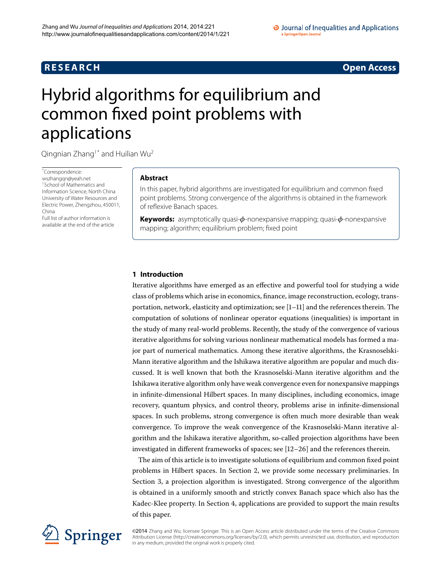# **R E S E A R C H Open Access**

# <span id="page-0-0"></span>Hybrid algorithms for equilibrium and common fixed point problems with applications

Qingnian  $Z$ hang<sup>1[\\*](#page-0-0)</sup> and Huilian Wu<sup>[2](#page-11-1)</sup>

\* Correspondence: [wszhangqn@yeah.net](mailto:wszhangqn@yeah.net) <sup>1</sup> School of Mathematics and Information Science, North China University of Water Resources and Electric Power, Zhengzhou, 450011, China

Full list of author information is available at the end of the article

# **Abstract**

In this paper, hybrid algorithms are investigated for equilibrium and common fixed point problems. Strong convergence of the algorithms is obtained in the framework of reflexive Banach spaces.

**Keywords:** asymptotically quasi-*φ*-nonexpansive mapping; quasi-*φ*-nonexpansive mapping; algorithm; equilibrium problem; fixed point

# **1 Introduction**

Iterative algorithms have emerged as an effective and powerful tool for studying a wide class of problems which arise in economics, finance, image reconstruction, ecology, transportation, network, elasticity and optimization; see  $[1-11]$  $[1-11]$  and the references therein. The computation of solutions of nonlinear operator equations (inequalities) is important in the study of many real-world problems. Recently, the study of the convergence of various iterative algorithms for solving various nonlinear mathematical models has formed a major part of numerical mathematics. Among these iterative algorithms, the Krasnoselski-Mann iterative algorithm and the Ishikawa iterative algorithm are popular and much discussed. It is well known that both the Krasnoselski-Mann iterative algorithm and the Ishikawa iterative algorithm only have weak convergence even for nonexpansive mappings in infinite-dimensional Hilbert spaces. In many disciplines, including economics, image recovery, quantum physics, and control theory, problems arise in infinite-dimensional spaces. In such problems, strong convergence is often much more desirable than weak convergence. To improve the weak convergence of the Krasnoselski-Mann iterative algorithm and the Ishikawa iterative algorithm, so-called projection algorithms have been investigated in different frameworks of spaces; see  $[12–26]$  $[12–26]$  and the references therein.

The aim of this article is to investigate solutions of equilibrium and common fixed point problems in Hilbert spaces. In Section 2, we provide some necessary preliminaries. In Section 3, a projection algorithm is investigated. Strong convergence of the algorithm is obtained in a uniformly smooth and strictly convex Banach space which also has the Kadec-Klee property. In Section 4[,](#page-9-0) applications are provided to support the main results of this paper.



©2014 Zhang and Wu; licensee Springer. This is an Open Access article distributed under the terms of the Creative Commons Attribution License [\(http://creativecommons.org/licenses/by/2.0](http://creativecommons.org/licenses/by/2.0)), which permits unrestricted use, distribution, and reproduction in any medium, provided the original work is properly cited.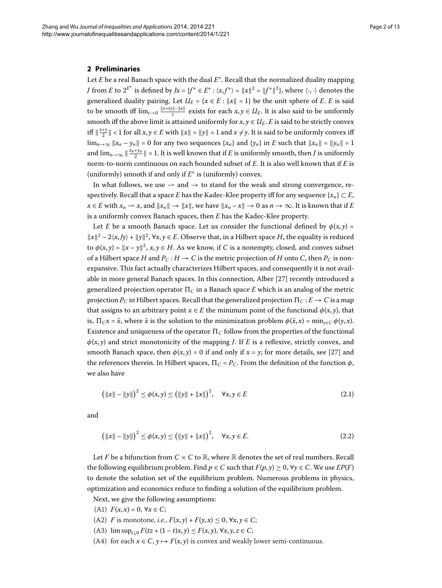### <span id="page-1-0"></span>**2 Preliminaries**

Let *E* be a real Banach space with the dual *E*∗. Recall that the normalized duality mapping *J* from *E* to  $2^{E^*}$  is defined by  $Jx = \{f^* \in E^* : \langle x, f^* \rangle = ||x||^2 = ||f^*||^2\}$ , where  $\langle \cdot, \cdot \rangle$  denotes the generalized duality pairing. Let  $U_E = \{x \in E : ||x|| = 1\}$  be the unit sphere of *E*. *E* is said to be smooth iff  $\lim_{t\to 0} \frac{\|x+t y\|-\|x\|}{t}$  exists for each  $x, y \in U_E$ . It is also said to be uniformly smooth iff the above limit is attained uniformly for  $x, y \in U_E$ . *E* is said to be strictly convex iff  $\|\frac{x+y}{2}\| < 1$  for all  $x, y \in E$  with  $\|x\| = \|y\| = 1$  and  $x \neq y$ . It is said to be uniformly convex iff  $\lim_{n\to\infty} ||x_n - y_n|| = 0$  for any two sequences  $\{x_n\}$  and  $\{y_n\}$  in *E* such that  $||x_n|| = ||y_n|| = 1$ and  $\lim_{n\to\infty} \| \frac{x_n+y_n}{2} \| = 1$ . It is well known that if *E* is uniformly smooth, then *J* is uniformly norm-to-norm continuous on each bounded subset of *E*. It is also well known that if *E* is (uniformly) smooth if and only if *E*<sup>∗</sup> is (uniformly) convex.

In what follows, we use  $\rightarrow$  and  $\rightarrow$  to stand for the weak and strong convergence, respectively. Recall that a space *E* has the Kadec-Klee property iff for any sequence { $x_n$ }  $\subset E$ ,  $x \in E$  with  $x_n \to x$ , and  $||x_n|| \to ||x||$ , we have  $||x_n - x|| \to 0$  as  $n \to \infty$ . It is known that if *E* is a uniformly convex Banach spaces, then *E* has the Kadec-Klee property.

Let *E* be a smooth Banach space. Let us consider the functional defined by  $\phi(x, y)$  =  $||x||^2 - 2\langle x, Jy \rangle + ||y||^2$ ,  $\forall x, y \in E$ . Observe that, in a Hilbert space *H*, the equality is reduced to  $\phi(x, y) = ||x - y||^2$ ,  $x, y \in H$ . As we know, if *C* is a nonempty, closed, and convex subset of a Hilbert space *H* and  $P_C$  :  $H \to C$  is the metric projection of *H* onto *C*, then  $P_C$  is nonexpansive. This fact actually characterizes Hilbert spaces, and consequently it is not avail-able in more general Banach spaces. In this connection, Alber [27[\]](#page-12-1) recently introduced a generalized projection operator  $\Pi_C$  in a Banach space E which is an analog of the metric projection  $P_C$  in Hilbert spaces. Recall that the generalized projection  $\Pi_C : E \to C$  is a map that assigns to an arbitrary point  $x \in E$  the minimum point of the functional  $\phi(x, y)$ , that is,  $\Pi_C x = \bar{x}$ , where  $\bar{x}$  is the solution to the minimization problem  $\phi(\bar{x}, x) = \min_{y \in C} \phi(y, x)$ . Existence and uniqueness of the operator  $\Pi_C$  follow from the properties of the functional  $\phi(x, y)$  and strict monotonicity of the mapping *J*. If *E* is a reflexive, strictly convex, and smooth Banach space, then  $\phi(x, y) = 0$  if and only if  $x = y$ ; for more details, see [27] and the references therein. In Hilbert spaces,  $\Pi_C = P_C$ . From the definition of the function *φ*, we also have

$$
(\|x\| - \|y\|)^2 \le \phi(x, y) \le (\|y\| + \|x\|)^2, \quad \forall x, y \in E
$$
 (2.1)

and

$$
\left(\|x\| - \|y\|\right)^2 \le \phi(x, y) \le \left(\|y\| + \|x\|\right)^2, \quad \forall x, y \in E. \tag{2.2}
$$

Let *F* be a bifunction from  $C \times C$  to  $\mathbb{R}$ , where  $\mathbb{R}$  denotes the set of real numbers. Recall the following equilibrium problem. Find  $p \in C$  such that  $F(p, y) \ge 0$ ,  $\forall y \in C$ . We use  $EP(F)$ to denote the solution set of the equilibrium problem. Numerous problems in physics, optimization and economics reduce to finding a solution of the equilibrium problem.

Next, we give the following assumptions:

- (A1)  $F(x, x) = 0, \forall x \in C$ ;
- (A2) *F* is monotone, *i.e.*,  $F(x, y) + F(y, x) \le 0$ ,  $\forall x, y \in C$ ;
- (A3)  $\limsup_{t\downarrow 0} F(tz + (1-t)x, y) \leq F(x, y), \forall x, y, z \in C;$
- (A4) for each  $x \in C$ ,  $y \mapsto F(x, y)$  is convex and weakly lower semi-continuous.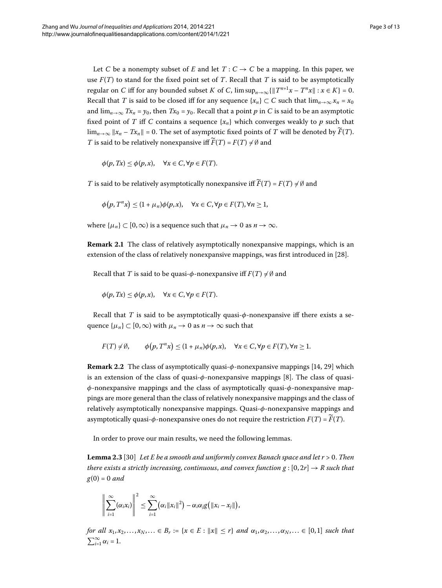Let *C* be a nonempty subset of *E* and let  $T: C \rightarrow C$  be a mapping. In this paper, we use *F*(*T*) to stand for the fixed point set of *T*. Recall that *T* is said to be asymptotically regular on *C* iff for any bounded subset *K* of *C*,  $\limsup_{n\to\infty}$  { $||T^{n+1}x - T^n x|| : x \in K$ } = 0. Recall that *T* is said to be closed iff for any sequence  $\{x_n\} \subset C$  such that  $\lim_{n\to\infty} x_n = x_0$ and  $\lim_{n\to\infty} Tx_n = y_0$ , then  $Tx_0 = y_0$ . Recall that a point *p* in *C* is said to be an asymptotic fixed point of *T* iff *C* contains a sequence  $\{x_n\}$  which converges weakly to *p* such that  $\lim_{n\to\infty} ||x_n - Tx_n|| = 0$ . The set of asymptotic fixed points of *T* will be denoted by  $\widetilde{F}(T)$ . *T* is said to be relatively nonexpansive iff  $\widetilde{F}(T) = F(T) \neq \emptyset$  and

 $\phi(p, Tx) \leq \phi(p, x), \quad \forall x \in C, \forall p \in F(T).$ 

*T* is said to be relatively asymptotically nonexpansive iff  $\widetilde{F}(T) = F(T) \neq \emptyset$  and

$$
\phi(p, T^n x) \le (1 + \mu_n)\phi(p, x), \quad \forall x \in C, \forall p \in F(T), \forall n \ge 1,
$$

where  $\{\mu_n\} \subset [0,\infty)$  is a sequence such that  $\mu_n \to 0$  as  $n \to \infty$ .

**Remark 2.1** The class of relatively asymptotically nonexpansive mappings, which is an extension of the class of relatively nonexpansive mappings, was first introduced in [28[\]](#page-12-2).

Recall that *T* is said to be quasi- $\phi$ -nonexpansive iff  $F(T) \neq \emptyset$  and

$$
\phi(p, Tx) \le \phi(p, x), \quad \forall x \in C, \forall p \in F(T).
$$

Recall that *T* is said to be asymptotically quasi-*φ*-nonexpansive iff there exists a sequence  $\{\mu_n\} \subset [0,\infty)$  with  $\mu_n \to 0$  as  $n \to \infty$  such that

$$
F(T) \neq \emptyset, \qquad \phi(p, T^n x) \leq (1 + \mu_n)\phi(p, x), \quad \forall x \in C, \forall p \in F(T), \forall n \geq 1.
$$

<span id="page-2-0"></span>**Remark 2.2** The class of asymptotically quasi-φ-nonexpansive mappings [14[,](#page-11-5) 29[\]](#page-12-3) which is an extension of the class of quasi- $φ$ -nonexpansive mappings [8[\]](#page-11-6). The class of quasi*φ*-nonexpansive mappings and the class of asymptotically quasi-*φ*-nonexpansive mappings are more general than the class of relatively nonexpansive mappings and the class of relatively asymptotically nonexpansive mappings. Quasi-*φ*-nonexpansive mappings and asymptotically quasi- $\phi$ -nonexpansive ones do not require the restriction  $F(T) = \widetilde{F}(T)$ .

In order to prove our main results, we need the following lemmas.

Lemma 2.3 [30] Let E be a smooth and uniformly convex Banach space and let  $r > 0$ . Then *there exists a strictly increasing, continuous, and convex function g* :  $[0, 2r] \rightarrow R$  *such that*  $g(0) = 0$  and

$$
\left\|\sum_{i=1}^{\infty}(\alpha_i x_i)\right\|^2 \leq \sum_{i=1}^{\infty}(\alpha_i \|x_i\|^2) - \alpha_i \alpha_j g\big(\|x_i - x_j\|\big),\
$$

*for all*  $x_1, x_2,..., x_N,... \in B_r := \{x \in E : ||x|| \leq r\}$  *and*  $\alpha_1, \alpha_2,..., \alpha_N,... \in [0,1]$  *such that*  $\sum_{i=1}^{\infty} \alpha_i = 1.$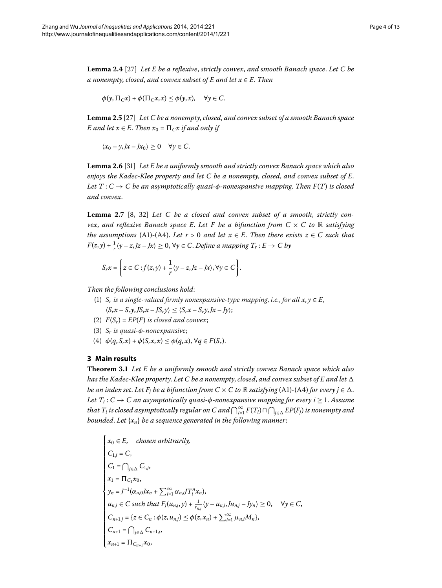<span id="page-3-4"></span><span id="page-3-3"></span>**Lemma 2.4** [\[](#page-12-1)27] *Let E be a reflexive, strictly convex, and smooth Banach space. Let C be a nonempty*, *closed*, *and convex subset of E and let x* ∈ *E*. *Then*

<span id="page-3-1"></span>
$$
\phi(y, \Pi_C x) + \phi(\Pi_C x, x) \le \phi(y, x), \quad \forall y \in C.
$$

Lemma 2.5 [27[\]](#page-12-1) Let C be a nonempty, closed, and convex subset of a smooth Banach space *E* and let  $x \in E$ . Then  $x_0 = \prod_{C} x$  if and only if

<span id="page-3-2"></span> $\langle x_0 - y, Jx - Jx_0 \rangle \geq 0 \quad \forall y \in C.$ 

Lemma 2.6 [31[\]](#page-12-5) *Let E be a uniformly smooth and strictly convex Banach space which also enjoys the Kadec-Klee property and let C be a nonempty*, *closed*, *and convex subset of E*. *Let*  $T: C \rightarrow C$  *be an asymptotically quasi-* $\phi$ *-nonexpansive mapping. Then*  $F(T)$  *is closed and convex*.

**Lemma 2.7** [\[](#page-11-6)8, 32] Let C be a closed and convex subset of a smooth, strictly con*vex, and reflexive Banach space E. Let F be a bifunction from*  $C \times C$  *to* R *satisfying the assumptions* (A1)-(A4). Let  $r > 0$  and let  $x \in E$ . Then there exists  $z \in C$  such that  $F(z, y) + \frac{1}{r}(y - z, Jz - Jx) \ge 0$ ,  $\forall y \in C$ . Define a mapping  $T_r : E \to C$  by

$$
S_rx = \left\{ z \in C : f(z,y) + \frac{1}{r} \langle y - z, Jz - Jx \rangle, \forall y \in C \right\}.
$$

<span id="page-3-5"></span><span id="page-3-0"></span>*Then the following conclusions hold*:

- (1)  $S_r$  *is a single-valued firmly nonexpansive-type mapping, i.e., for all*  $x, y \in E$ *,*  $\langle S_r x - S_r y, J S_r x - J S_r y \rangle \leq \langle S_r x - S_r y, Jx - Jy \rangle;$
- (2)  $F(S_r) = EP(F)$  *is closed and convex*;
- () *Sr is quasi-φ-nonexpansive*;
- (4)  $\phi(q, S_r x) + \phi(S_r x, x) \leq \phi(q, x), \forall q \in F(S_r).$

## **3 Main results**

**Theorem .** *Let E be a uniformly smooth and strictly convex Banach space which also has the Kadec-Klee property*. *Let C be a nonempty*, *closed*, *and convex subset of E and let be an index set. Let F<sub>j</sub> be a bifunction from*  $C \times C$  *to*  $\mathbb R$  *satisfying (A1)-(A4) for every*  $j \in \Delta$ *. Let*  $T_i$ :  $C \rightarrow C$  *an asymptotically quasi-* $\phi$ *-nonexpansive mapping for every i*  $\geq$  1. Assume that  $T_i$  is closed asymptotically regular on C and  $\bigcap_{i=1}^\infty F(T_i)\cap \bigcap_{j\in \Delta} EP(F_j)$  is nonempty and *bounded*. *Let* {*xn*} *be a sequence generated in the following manner*:

$$
\begin{cases}\n x_0 \in E, & \text{chosen arbitrarily,} \\
 C_{1,j} = C, \\
 C_1 = \bigcap_{j \in \Delta} C_{1,j}, \\
 x_1 = \Pi_{C_1} x_0, \\
 y_n = J^{-1} (\alpha_{n,0} J x_n + \sum_{i=1}^{\infty} \alpha_{n,i} J T_i^n x_n), \\
 u_{n,j} \in C \text{ such that } F_j(u_{n,j}, y) + \frac{1}{r_{n,j}} \langle y - u_{n,j}, J u_{n,j} - J y_n \rangle \ge 0, \quad \forall y \in C, \\
 C_{n+1,j} = \{ z \in C_n : \phi(z, u_{n,j}) \le \phi(z, x_n) + \sum_{i=1}^{\infty} \mu_{n,i} M_n \}, \\
 C_{n+1} = \bigcap_{j \in \Delta} C_{n+1,j}, \\
 x_{n+1} = \Pi_{C_{n+1}} x_0,\n\end{cases}
$$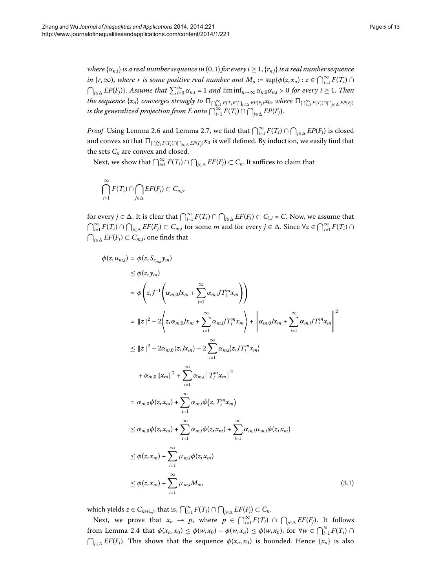*Proof* Using Lemma 2[.](#page-3-1)6 and Lemma 2.7, we find that  $\bigcap_{i=1}^{\infty} F(T_i) \cap \bigcap_{j \in \Delta} EP(F_j)$  is closed and convex so that  $\Pi_{\bigcap_{i=1}^\infty F(T_i)\cap\bigcap_{j\in\Delta} EP(F_j)}x_0$  is well defined. By induction, we easily find that the sets  $C_n$  are convex and closed.

Next, we show that  $\bigcap_{i=1}^{\infty} F(T_i) \cap \bigcap_{j \in \Delta} EF(F_j) \subset C_n$ . It suffices to claim that

$$
\bigcap_{i=1}^{\infty} F(T_i) \cap \bigcap_{j \in \Delta} EF(F_j) \subset C_{n,j},
$$

<span id="page-4-0"></span>for every  $j \in \Delta$ . It is clear that  $\bigcap_{i=1}^{\infty} F(T_i) \cap \bigcap_{j \in \Delta} EF(F_j) \subset C_{1,j} = C$ . Now, we assume that  $\bigcap_{i=1}^{\infty} F(T_i) \cap \bigcap_{j \in \Delta} EF(F_j) \subset C_{m,j}$  for some *m* and for every  $j \in \Delta$ . Since  $\forall z \in \bigcap_{i=1}^{\infty} F(T_i) \cap C_{m,i}$  $\bigcap_{j\in\Delta} EF(F_j)$  ⊂  $C_{m,j}$ , one finds that

$$
\phi(z, u_{mj}) = \phi(z, S_{r_{mj}}y_m)
$$
\n
$$
\leq \phi(z, y_m)
$$
\n
$$
= \phi\left(z, J^{-1}\left(\alpha_{m,0}Jx_m + \sum_{i=1}^{\infty} \alpha_{m,i}JT_i^m x_m\right)\right)
$$
\n
$$
= ||z||^2 - 2\left(z, \alpha_{m,0}Jx_m + \sum_{i=1}^{\infty} \alpha_{m,i}JT_i^m x_m\right) + \left\|\alpha_{m,0}Jx_m + \sum_{i=1}^{\infty} \alpha_{m,i}JT_i^m x_m\right\|^2
$$
\n
$$
\leq ||z||^2 - 2\alpha_{m,0}\langle z, Jx_m \rangle - 2\sum_{i=1}^{\infty} \alpha_{m,i}\langle z, JT_i^m x_m \rangle
$$
\n
$$
+ \alpha_{m,0}||x_m||^2 + \sum_{i=1}^{\infty} \alpha_{m,i}||T_i^m x_m||^2
$$
\n
$$
= \alpha_{m,0}\phi(z, x_m) + \sum_{i=1}^{\infty} \alpha_{m,i}\phi(z, T_i^m x_m)
$$
\n
$$
\leq \alpha_{m,0}\phi(z, x_m) + \sum_{i=1}^{\infty} \alpha_{m,i}\phi(z, x_m) + \sum_{i=1}^{\infty} \alpha_{m,i}\mu_{m,i}\phi(z, x_m)
$$
\n
$$
\leq \phi(z, x_m) + \sum_{i=1}^{\infty} \mu_{m,i}\phi(z, x_m)
$$
\n
$$
\leq \phi(z, x_m) + \sum_{i=1}^{\infty} \mu_{m,i}M_m, \qquad (3.1)
$$

which yields  $z \in C_{m+1,j}$ , that is,  $\bigcap_{i=1}^{\infty} F(T_i) \cap \bigcap_{j \in \Delta} EF(F_j) \subset C_n$ .

Next, we prove that  $x_n \to p$ , where  $p \in \bigcap_{i=1}^{\infty} F(T_i) \cap \bigcap_{j \in \Delta} EF(F_j)$ . It follows from Lemma 2[.](#page-3-3)4 that  $\phi(x_n, x_0) \leq \phi(w, x_0) - \phi(w, x_n) \leq \phi(w, x_0)$ , for  $\forall w \in \bigcap_{i=1}^N F(T_i) \cap$  $\bigcap_{j\in\Delta} EF(F_j)$ *. This shows that the sequence*  $\phi(x_n, x_0)$  *is bounded. Hence {<i>x<sub>n</sub>*} is also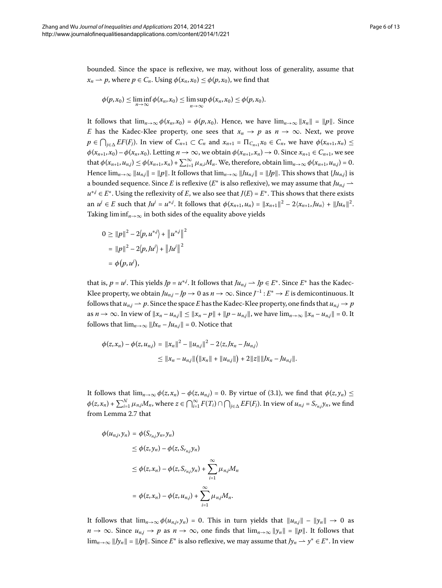bounded. Since the space is reflexive, we may, without loss of generality, assume that  $x_n \rightharpoonup p$ , where  $p \in C_n$ . Using  $\phi(x_n, x_0) \leq \phi(p, x_0)$ , we find that

$$
\phi(p,x_0)\leq \liminf_{n\to\infty}\phi(x_n,x_0)\leq \limsup_{n\to\infty}\phi(x_n,x_0)\leq \phi(p,x_0).
$$

It follows that  $\lim_{n\to\infty} \phi(x_n, x_0) = \phi(p, x_0)$ . Hence, we have  $\lim_{n\to\infty} ||x_n|| = ||p||$ . Since *E* has the Kadec-Klee property, one sees that  $x_n \to p$  as  $n \to \infty$ . Next, we prove  $p \in \bigcap_{j\in\Delta} EF(F_j)$ . In view of  $C_{n+1} \subset C_n$  and  $x_{n+1} = \prod_{C_{n+1}} x_0 \in C_n$ , we have  $\phi(x_{n+1}, x_n) \leq$  $\phi(x_{n+1}, x_0) - \phi(x_n, x_0)$ . Letting  $n \to \infty$ , we obtain  $\phi(x_{n+1}, x_n) \to 0$ . Since  $x_{n+1} \in C_{n+1}$ , we see  $\text{that } \phi(x_{n+1}, u_{n,j}) \leq \phi(x_{n+1}, x_n) + \sum_{i=1}^{\infty} \mu_{n,i} M_n.$  We, therefore, obtain  $\lim_{n\to\infty} \phi(x_{n+1}, u_{n,j}) = 0.$ Hence  $\lim_{n\to\infty} ||u_{n,j}|| = ||p||$ . It follows that  $\lim_{n\to\infty} ||Ju_{n,j}|| = ||Jp||$ . This shows that  $\{Ju_{n,j}\}$  is a bounded sequence. Since *E* is reflexive ( $E^*$  is also reflexive), we may assume that  $Ju_{n,j} \rightarrow$  $u^{*j} \in E^*$ . Using the reflexivity of *E*, we also see that  $J(E) = E^*$ . This shows that there exists an  $u^j \in E$  such that  $Ju^j = u^{*,j}$ . It follows that  $\phi(x_{n+1}, u_n) = ||x_{n+1}||^2 - 2\langle x_{n+1}, Ju_n \rangle + ||Ju_n||^2$ . Taking  $\liminf_{n\to\infty}$  in both sides of the equality above yields

$$
0 \ge ||p||^2 - 2\langle p, u^{*j} \rangle + ||u^{*j}||^2
$$
  
=  $||p||^2 - 2\langle p, J u^j \rangle + ||J u^j||^2$   
=  $\phi(p, u^j)$ ,

that is,  $p = u^j$ . This yields  $Jp = u^{*,j}$ . It follows that  $Ju_{n,j} \to Jp \in E^*$ . Since  $E^*$  has the Kadec-Klee property, we obtain  $Ju_{n,j} - Jp \to 0$  as  $n \to \infty$ . Since  $J^{-1} : E^* \to E$  is demicontinuous. It follows that  $u_{n,j} \to p$ . Since the space *E* has the Kadec-Klee property, one finds that  $u_{n,j} \to p$ as  $n \to \infty$ . In view of  $||x_n - u_{n,j}|| \le ||x_n - p|| + ||p - u_{n,j}||$ , we have  $\lim_{n \to \infty} ||x_n - u_{n,j}|| = 0$ . It follows that  $\lim_{n\to\infty}$   $||Jx_n - Ju_{n,j}|| = 0$ . Notice that

$$
\phi(z, x_n) - \phi(z, u_{n,j}) = ||x_n||^2 - ||u_{n,j}||^2 - 2\langle z, Jx_n - Ju_{n,j}\rangle
$$
  
\n
$$
\leq ||x_n - u_{n,j}|| (||x_n|| + ||u_{n,j}||) + 2||z|| ||Jx_n - Ju_{n,j}||.
$$

It follows that  $\lim_{n\to\infty} \phi(z, x_n) - \phi(z, u_n) = 0$ . By virtue of (3.1), we find that  $\phi(z, y_n) \le$  $\phi(z,x_n)+\sum_{i=1}^N \mu_{n,j}M_n$ , where  $z\in \bigcap_{i=1}^\infty F(T_i)\cap \bigcap_{j\in \Delta} EF(F_j)$ . In view of  $u_{n,j}=S_{r_{n,j}}y_n$ , we find from Lemma 2[.](#page-3-2)7 that

$$
\phi(u_{n,j}, y_n) = \phi(S_{r_{n,j}} y_n, y_n)
$$
  
\n
$$
\leq \phi(z, y_n) - \phi(z, S_{r_{n,j}} y_n)
$$
  
\n
$$
\leq \phi(z, x_n) - \phi(z, S_{r_{n,j}} y_n) + \sum_{i=1}^{\infty} \mu_{n,j} M_n
$$
  
\n
$$
= \phi(z, x_n) - \phi(z, u_{n,j}) + \sum_{i=1}^{\infty} \mu_{n,j} M_n.
$$

It follows that  $\lim_{n\to\infty}\phi(u_{n,j}, y_n) = 0$ . This in turn yields that  $||u_{n,j}|| - ||y_n|| \to 0$  as  $n \to \infty$ . Since  $u_{n,j} \to p$  as  $n \to \infty$ , one finds that  $\lim_{n \to \infty} ||y_n|| = ||p||$ . It follows that  $\lim_{n\to\infty}$  *|Jy<sub>n</sub>*  $\parallel$  = *|Jp*  $\parallel$ *.* Since *E*<sup>∗</sup> is also reflexive, we may assume that *Jy<sub>n</sub>* → *y*<sup>∗</sup> ∈ *E*<sup>∗</sup>. In view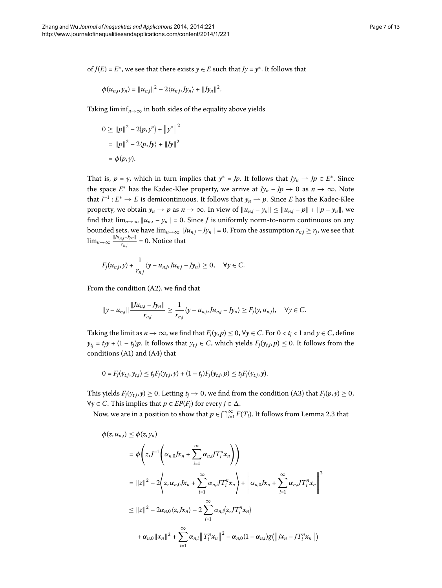of *J*(*E*) = *E*<sup>\*</sup>, we see that there exists  $y \in E$  such that *Jy* =  $y$ <sup>\*</sup>. It follows that

$$
\phi(u_{n,j}, y_n) = ||u_{n,j}||^2 - 2\langle u_{n,j}, Jy_n \rangle + ||Jy_n||^2.
$$

Taking  $\liminf_{n\to\infty}$  in both sides of the equality above yields

$$
0 \ge ||p||^2 - 2\langle p, y^* \rangle + ||y^*||^2
$$
  
=  $||p||^2 - 2\langle p, Jy \rangle + ||Jy||^2$   
=  $\phi(p, y)$ .

That is, *p* = *y*, which in turn implies that  $y^* = Jp$ . It follows that  $Jy_n \to Jp \in E^*$ . Since the space  $E^*$  has the Kadec-Klee property, we arrive at  $Jy_n - Jp \to 0$  as  $n \to \infty$ . Note that  $J^{-1}: E^* \to E$  is demicontinuous. It follows that  $y_n \to p$ . Since *E* has the Kadec-Klee property, we obtain  $y_n \to p$  as  $n \to \infty$ . In view of  $||u_{n,j} - y_n|| \le ||u_{n,j} - p|| + ||p - y_n||$ , we find that  $\lim_{n\to\infty} ||u_{n,i} - y_n|| = 0$ . Since *J* is uniformly norm-to-norm continuous on any bounded sets, we have  $\lim_{n\to\infty} ||Ju_{n,j} - Jy_n|| = 0$ . From the assumption  $r_{n,j} \ge r_j$ , we see that  $\lim_{n\to\infty} \frac{\|Ju_{n,j}-Jy_n\|}{r_{n,j}}$  $\frac{a_j y_{n}}{r_{n,j}} = 0$ . Notice that

$$
F_j(u_{n,j},y)+\frac{1}{r_{n,j}}\langle y-u_{n,j},Ju_{n,j}-Jy_n\rangle\geq 0, \quad \forall y\in C.
$$

From the condition  $(A2)$ , we find that

$$
||y - u_{n,j}|| \frac{||Ju_{n,j} - Jy_n||}{r_{n,j}} \ge \frac{1}{r_{n,j}} \langle y - u_{n,j}, Ju_{n,j} - Jy_n \rangle \ge F_j(y, u_{n,j}), \quad \forall y \in C.
$$

Taking the limit as  $n \to \infty$ , we find that  $F_j(y, p) \le 0$ ,  $\forall y \in C$ . For  $0 < t_j < 1$  and  $y \in C$ , define  $y_{t_i} = t_i y + (1 - t_i)p$ . It follows that  $y_{t_i} \in C$ , which yields  $F_j(y_{t_i}, p) \le 0$ . It follows from the conditions (A1) and (A4) that

$$
0 = F_j(y_{t,j}, y_{t,j}) \le t_j F_j(y_{t,j}, y) + (1 - t_j) F_j(y_{t,j}, p) \le t_j F_j(y_{t,j}, y).
$$

This yields  $F_j(y_{t,i}, y) \ge 0$ . Letting  $t_j \to 0$ , we find from the condition (A3) that  $F_j(p, y) \ge 0$ , *∀y* ∈ *C*. This implies that *p* ∈ *EP*( $F<sub>j</sub>$ ) for every *j* ∈  $\Delta$ .

Now, we are in a position to show that  $p \in \bigcap_{i=1}^{\infty} F(T_i)$ [.](#page-2-0) It follows from Lemma 2.3 that

$$
\phi(z, u_{n,j}) \leq \phi(z, y_n)
$$
\n
$$
= \phi\left(z, J^{-1}\left(\alpha_{n,0}Jx_n + \sum_{i=1}^{\infty} \alpha_{n,i}JT_i^n x_n\right)\right)
$$
\n
$$
= ||z||^2 - 2\left(z, \alpha_{n,0}Jx_n + \sum_{i=1}^{\infty} \alpha_{n,i}JT_i^n x_n\right) + \left\|\alpha_{n,0}Jx_n + \sum_{i=1}^{\infty} \alpha_{n,i}JT_i^n x_n\right\|^2
$$
\n
$$
\leq ||z||^2 - 2\alpha_{n,0}\langle z, Jx_n \rangle - 2\sum_{i=1}^{\infty} \alpha_{n,i}\langle z, JT_i^n x_n \rangle
$$
\n
$$
+ \alpha_{n,0}||x_n||^2 + \sum_{i=1}^{\infty} \alpha_{n,i}||T_i^n x_n||^2 - \alpha_{n,0}(1 - \alpha_{n,i})g(||Jx_n - JT_i^n x_n||)
$$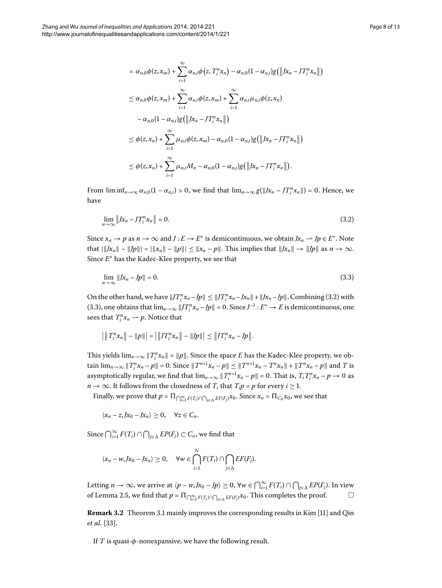<span id="page-7-0"></span>
$$
= \alpha_{n,0}\phi(z,x_m) + \sum_{i=1}^{\infty} \alpha_{n,i}\phi(z,T_i^n x_n) - \alpha_{n,0}(1-\alpha_{n,i})g(||x_n - JT_i^n x_n||)
$$
  
\n
$$
\leq \alpha_{n,0}\phi(z,x_m) + \sum_{i=1}^{\infty} \alpha_{n,i}\phi(z,x_m) + \sum_{i=1}^{\infty} \alpha_{n,i}\mu_{n,i}\phi(z,x_n)
$$
  
\n
$$
- \alpha_{n,0}(1-\alpha_{n,i})g(||x_n - JT_i^n x_n||)
$$
  
\n
$$
\leq \phi(z,x_n) + \sum_{i=1}^{\infty} \mu_{n,i}\phi(z,x_m) - \alpha_{n,0}(1-\alpha_{n,i})g(||x_n - JT_i^n x_n||)
$$
  
\n
$$
\leq \phi(z,x_n) + \sum_{i=1}^{\infty} \mu_{n,i}M_n - \alpha_{n,0}(1-\alpha_{n,i})g(||x_n - JT_i^n x_n||).
$$

From  $\liminf_{n\to\infty} \alpha_{n,0} (1 - \alpha_{n,i}) > 0$ , we find that  $\lim_{n\to\infty} g(||x_n - JT_i^n x_n||) = 0$ . Hence, we have

<span id="page-7-1"></span>
$$
\lim_{n \to \infty} \left\| Jx_n - JT_i^n x_n \right\| = 0. \tag{3.2}
$$

Since  $x_n \to p$  as  $n \to \infty$  and  $J : E \to E^*$  is demicontinuous, we obtain  $Jx_n \to Jp \in E^*$ . Note that  $|||x_n|| - ||p||| = ||x_n|| - ||p||| \le ||x_n - p||$ . This implies that  $||x_n|| \to ||p||$  as  $n \to \infty$ . Since *E*<sup>∗</sup> has the Kadec-Klee property, we see that

$$
\lim_{n \to \infty} \|Jx_n - Jp\| = 0. \tag{3.3}
$$

On the other hand, we have  $||JT_i^n x_n - Jp|| \le ||JT_i^n x_n - Jx_n|| + ||Jx_n - Jp||$ [.](#page-7-0) Combining (3.2) with (3.3), one obtains that  $\lim_{n\to\infty} ||JT_i^n x_n - Jp|| = 0$ . Since  $J^{-1}: E^* \to E$  is demicontinuous, one sees that  $T_i^n x_n \rightharpoonup p$ . Notice that

$$
\left| \|T_i^n x_n\| - \|p\| \right| = \left| \|JT_i^n x_n\| - \|Jp\| \right| \le \|JT_i^n x_n - Jp\|.
$$

This yields  $\lim_{n\to\infty}||T_i^n x_n|| = ||p||$ . Since the space *E* has the Kadec-Klee property, we ob- $\lim_{n\to\infty} \|T_i^n x_n - p\| = 0.$  Since  $\|T^{n+1} x_n - p\| \le \|T^{n+1} x_n - T^n x_n\| + \|T^n x_n - p\|$  and T is asymptotically regular, we find that  $\lim_{n\to\infty}||T_i^{n+1}x_n - p|| = 0$ . That is,  $T_iT_i^n x_n - p \to 0$  as *n*  $\rightarrow \infty$ . It follows from the closedness of *T<sub>i</sub>* that *T<sub>i</sub>p* = *p* for every *i*  $\geq$  1.

Finally, we prove that  $p = \prod_{\bigcap_{i=1}^{\infty} F(T_i) \cap \bigcap_{j \in \Delta} EF(F_j)} x_0$ . Since  $x_n = \prod_{C_n} x_0$ , we see that

$$
\langle x_n-z, Jx_0-Jx_n\rangle\geq 0, \quad \forall z\in C_n.
$$

Since  $\bigcap_{i=1}^{\infty} F(T_i) \cap \bigcap_{j \in \Delta} EP(F_j) \subset C_n$ , we find that

$$
\langle x_n - w, Jx_0 - Jx_n \rangle \geq 0, \quad \forall w \in \bigcap_{i=1}^N F(T_i) \cap \bigcap_{j \in \Delta} EF(F_j).
$$

Letting  $n \to \infty$ , we arrive at  $\langle p - w, Jx_0 - Jp \rangle \ge 0$ ,  $\forall w \in \bigcap_{i=1}^{\infty} F(T_i) \cap \bigcap_{j \in \Delta} EP(F_j)$ . In view of Lemma 2[.](#page-3-4)5, we find that  $p = \prod_{\bigcap_{i=1}^{\infty} F(T_i) \cap \bigcap_{j \in \Delta} EF(F_j)} x_0$ . This completes the proof.  $\hfill \Box$  $\Box$ 

**Remark 3[.](#page-3-5)2** Theorem 3.1 mainly improves the corresponding results in Kim [\[](#page-11-3)11] and Qin *et al.* [33[\]](#page-12-7).

If *T* is quasi-*φ*-nonexpansive, we have the following result.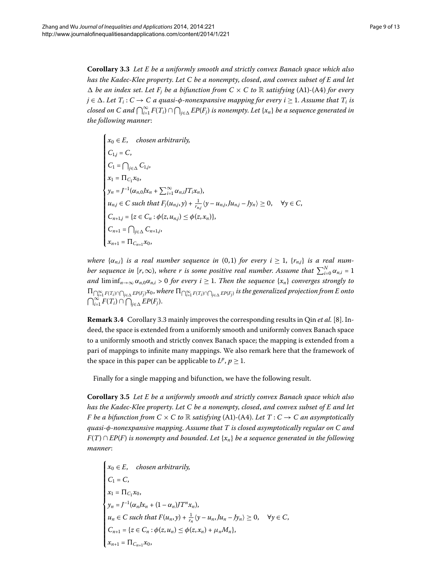<span id="page-8-0"></span>**Corollary .** *Let E be a uniformly smooth and strictly convex Banach space which also has the Kadec-Klee property*. *Let C be a nonempty*, *closed*, *and convex subset of E and let*  $\Delta$  *be an index set. Let F<sub>i</sub> be a bifunction from*  $C \times C$  *to R satisfying* (A1)-(A4) *for every*  $j \in \Delta$ . Let  $T_i : C \to C$  a quasi- $\phi$ -nonexpansive mapping for every  $i \geq 1$ . Assume that  $T_i$  is  $c$ losed on C and  $\bigcap_{i=1}^\infty F(T_i)\cap \bigcap_{j\in \Delta} EP(F_j)$  is nonempty. Let  $\{x_n\}$  be a sequence generated in *the following manner*:

$$
\begin{cases}\n x_0 \in E, & \text{chosen arbitrarily,} \\
 C_{1,j} = C, \\
 C_1 = \bigcap_{j \in \Delta} C_{1,j}, \\
 x_1 = \Pi_{C_1} x_0, \\
 y_n = J^{-1}(\alpha_{n,0} J x_n + \sum_{i=1}^{\infty} \alpha_{n,i} J T_i x_n), \\
 u_{n,j} \in C \text{ such that } F_j(u_{n,j}, y) + \frac{1}{r_{n,j}} \langle y - u_{n,j}, Ju_{n,j} - J y_n \rangle \ge 0, \quad \forall y \in C, \\
 C_{n+1,j} = \{ z \in C_n : \phi(z, u_{n,j}) \le \phi(z, x_n) \}, \\
 C_{n+1} = \bigcap_{j \in \Delta} C_{n+1,j}, \\
 x_{n+1} = \Pi_{C_{n+1}} x_0,\n\end{cases}
$$

*where*  $\{\alpha_{n,i}\}\$ is a real number sequence in (0,1) for every  $i \geq 1$ ,  $\{r_{n,j}\}\$ is a real num*ber sequence in [r,*  $\infty$ ), where r is some positive real number. Assume that  $\sum_{i=0}^{N} \alpha_{n,i} = 1$ *and*  $\liminf_{n\to\infty} \alpha_{n,0}\alpha_{n,i} > 0$  *for every i*  $\geq 1$ *. Then the sequence* {*x<sub>n</sub>*} *converges strongly to*  $\Pi_{\bigcap_{i=1}^\infty F(T_i)\cap \bigcap_{j\in\Delta} EP(F_j)} x_0,$  where  $\Pi_{\bigcap_{i=1}^\infty F(T_i)\cap \bigcap_{j\in\Delta} EP(F_j)}$  is the generalized projection from E onto  $\bigcap_{i=1}^{\infty} F(T_i) \cap \bigcap_{j \in \Delta} EP(F_j).$ 

**Remark 3[.](#page-8-0)4** Corollary 3.3 mainly improves the corresponding results in Qin *et al.* [8[\]](#page-11-6). Indeed, the space is extended from a uniformly smooth and uniformly convex Banach space to a uniformly smooth and strictly convex Banach space; the mapping is extended from a pari of mappings to infinite many mappings. We also remark here that the framework of the space in this paper can be applicable to  $L^p$ ,  $p \geq 1$ .

Finally for a single mapping and bifunction, we have the following result.

**Corollary .** *Let E be a uniformly smooth and strictly convex Banach space which also has the Kadec-Klee property*. *Let C be a nonempty*, *closed*, *and convex subset of E and let F* be a bifunction from  $C \times C$  to  $\mathbb R$  satisfying (A1)-(A4). Let  $T : C \rightarrow C$  an asymptotically *quasi-φ-nonexpansive mapping*. *Assume that T is closed asymptotically regular on C and F*(*T*) ∩ *EP*(*F*) *is nonempty and bounded*. *Let* {*xn*} *be a sequence generated in the following manner*:

$$
\begin{cases}\nx_0 \in E, & \text{chosen arbitrarily,} \\
C_1 = C, \\
x_1 = \Pi_{C_1} x_0, \\
y_n = J^{-1}(\alpha_n J x_n + (1 - \alpha_n) J T^n x_n), \\
u_n \in C \text{ such that } F(u_n, y) + \frac{1}{r_n} \langle y - u_n, Ju_n - J y_n \rangle \ge 0, \quad \forall y \in C, \\
C_{n+1} = \{ z \in C_n : \phi(z, u_n) \le \phi(z, x_n) + \mu_n M_n \}, \\
x_{n+1} = \Pi_{C_{n+1}} x_0,\n\end{cases}
$$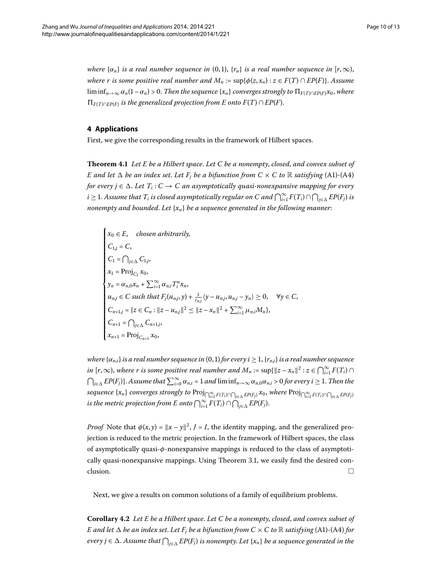<span id="page-9-1"></span><span id="page-9-0"></span>*where*  $\{\alpha_n\}$  *is a real number sequence in* (0,1),  $\{r_n\}$  *is a real number sequence in*  $[r, \infty)$ , *where r is some positive real number and*  $M_n := \sup{\{\phi(z, x_n) : z \in F(T) \cap EP(F)\}\)$ . *Assume* lim  $\inf_{n\to\infty} \alpha_n(1-\alpha_n) > 0$ . Then the sequence  $\{x_n\}$  converges strongly to  $\prod_{F(T)\cap EP(F)} x_0$ , where  $\prod_{F(T) \cap E P(F)}$  *is the generalized projection from E onto*  $F(T) \cap E P(F)$ .

# **4 Applications**

First, we give the corresponding results in the framework of Hilbert spaces.

**Theorem .** *Let E be a Hilbert space*. *Let C be a nonempty*, *closed*, *and convex subset of E* and let  $\triangle$  *be an index set. Let*  $F_i$  *be a bifunction from C*  $\times$  *C to*  $\mathbb R$  *satisfying* (A1)-(A4) *for every*  $j \in \Delta$ *. Let*  $T_i : C \to C$  *an asymptotically quasi-nonexpansive mapping for every*  $i\geq 1$ . Assume that  $T_i$  is closed asymptotically regular on C and  $\bigcap_{i=1}^\infty F(T_i)\cap\bigcap_{j\in\Delta} EP(F_j)$  is *nonempty and bounded*. *Let* {*xn*} *be a sequence generated in the following manner*:

$$
\begin{cases}\n x_0 \in E, & \text{chosen arbitrarily,} \\
 C_{1,j} = C, \\
 C_1 = \bigcap_{j \in \Delta} C_{1,j}, \\
 x_1 = \text{Proj}_{C_1} x_0, \\
 y_n = \alpha_{n,0} x_n + \sum_{i=1}^{\infty} \alpha_{n,i} T_i^n x_n, \\
 u_{n,j} \in C \text{ such that } F_j(u_{n,j}, y) + \frac{1}{r_{n,j}} \langle y - u_{n,j}, u_{n,j} - y_n \rangle \ge 0, \quad \forall y \in C, \\
 C_{n+1,j} = \{ z \in C_n : ||z - u_{n,j}||^2 \le ||z - x_n||^2 + \sum_{i=1}^{\infty} \mu_{n,i} M_n \}, \\
 C_{n+1} = \bigcap_{j \in \Delta} C_{n+1,j}, \\
 x_{n+1} = \text{Proj}_{C_{n+1}} x_0,\n\end{cases}
$$

*where*  $\{\alpha_{n,i}\}\$ is a real number sequence in (0, 1) for every  $i \geq 1$ ,  $\{r_{n,i}\}\$ is a real number sequence *in*  $[r, \infty)$ , where r is some positive real number and  $M_n := \sup\{\|z - x_n\|^2 : z \in \bigcap_{i=1}^{\infty} F(T_i) \cap \mathbb{R}$  $\bigcap_{j\in\Delta} EP(F_j)$ . Assume that  $\sum_{i=0}^{\infty} \alpha_{n,i} = 1$  and  $\liminf_{n\to\infty} \alpha_{n,0}\alpha_{n,i} > 0$  for every  $i \ge 1$ . Then the  $\sup_{i=1}^{\infty} F(T_i)$  *converges strongly to*  $\Prj_{\bigcap_{i=1}^{\infty} F(T_i) \cap \bigcap_{j \in \Delta} EP(F_j)} x_0$ , where  $\Prj_{\bigcap_{i=1}^{\infty} F(T_i) \cap \bigcap_{j \in \Delta} EP(F_j)} x_0$ is the metric projection from E onto  $\bigcap_{i=1}^{\infty} F(T_i) \cap \bigcap_{j \in \Delta} EP(F_j)$ .

*Proof* Note that  $\phi(x, y) = ||x - y||^2$ , *J* = *I*, the identity mapping, and the generalized projection is reduced to the metric projection. In the framework of Hilbert spaces, the class of asymptotically quasi-*φ*-nonexpansive mappings is reduced to the class of asymptoti-cally quasi-nonexpansive mappings[.](#page-3-5) Using Theorem 3.1, we easily find the desired con- $\Box$  clusion.

Next, we give a results on common solutions of a family of equilibrium problems.

**Corollary .** *Let E be a Hilbert space*. *Let C be a nonempty*, *closed*, *and convex subset of E* and let  $\Delta$  *be an index set. Let F<sub>j</sub> be a bifunction from C*  $\times$  *C to*  $\mathbb R$  *satisfying* (A1)-(A4) *for every j* ∈  $\Delta$ . Assume that  $\bigcap_{j\in\Delta} EP(F_j)$  is nonempty. Let  $\{x_n\}$  be a sequence generated in the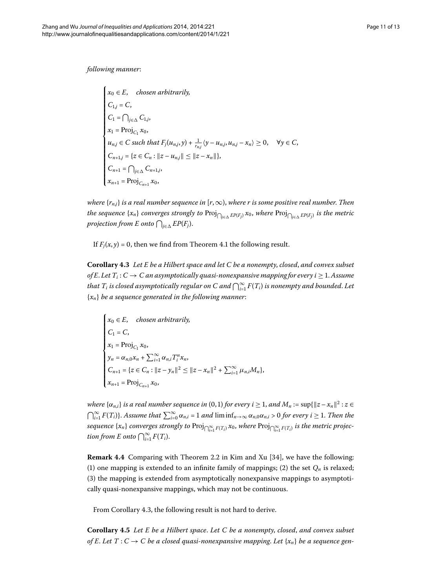*following manner*:

$$
\begin{cases}\nx_0 \in E, & \text{chosen arbitrarily,} \\
C_{1,j} = C, \\
C_1 = \bigcap_{j \in \Delta} C_{1,j}, \\
x_1 = \text{Proj}_{C_1} x_0, \\
u_{n,j} \in C \text{ such that } F_j(u_{n,j}, y) + \frac{1}{r_{n,j}} \langle y - u_{n,j}, u_{n,j} - x_n \rangle \ge 0, \quad \forall y \in C, \\
C_{n+1,j} = \{z \in C_n : ||z - u_{n,j}|| \le ||z - x_n||\}, \\
C_{n+1} = \bigcap_{j \in \Delta} C_{n+1,j}, \\
x_{n+1} = \text{Proj}_{C_{n+1}} x_0,\n\end{cases}
$$

<span id="page-10-0"></span>*where*  $\{r_{ni}\}$  *is a real number sequence in*  $[r, \infty)$ *, where r is some positive real number. Then the sequence*  $\{x_n\}$  *converges strongly to*  $\text{Proj}_{\bigcap_{j\in \Delta} EP(F_j)} x_0$ *, where*  $\text{Proj}_{\bigcap_{j\in \Delta} EP(F_j)}$  *is the metric projection from E onto*  $\bigcap_{j\in\Delta} EP(F_j)$ .

If  $F_i(x, y) = 0$ , then we find from Theorem 4[.](#page-9-1)1 the following result.

**Corollary .** *Let E be a Hilbert space and let C be a nonempty*, *closed*, *and convex subset of E. Let*  $T_i$ :  $C \rightarrow C$  *an asymptotically quasi-nonexpansive mapping for every i*  $\geq$  1. Assume that  $T_i$  is closed asymptotically regular on C and  $\bigcap_{i=1}^\infty F(T_i)$  is nonempty and bounded. Let {*xn*} *be a sequence generated in the following manner*:

$$
\begin{cases}\n x_0 \in E, & \text{chosen arbitrarily,} \\
 C_1 = C, \\
 x_1 = \text{Proj}_{C_1} x_0, \\
 y_n = \alpha_{n,0} x_n + \sum_{i=1}^{\infty} \alpha_{n,i} T_i^n x_n, \\
 C_{n+1} = \{ z \in C_n : ||z - y_n||^2 \le ||z - x_n||^2 + \sum_{i=1}^{\infty} \mu_{n,i} M_n \}, \\
 x_{n+1} = \text{Proj}_{C_{n+1}} x_0,\n\end{cases}
$$

*where*  $\{\alpha_{n,i}\}\$ is a real number sequence in  $(0,1)$  for every  $i \geq 1$ , and  $M_n := \sup\{\|z - x_n\|^2 : z \in I\}$  $\bigcap_{i=1}^{\infty} F(T_i)$ . Assume that  $\sum_{i=0}^{\infty} \alpha_{n,i} = 1$  and  $\liminf_{n \to \infty} \alpha_{n,0} \alpha_{n,i} > 0$  for every  $i \ge 1$ . Then the  $seq$ uence  $\{x_n\}$  converges strongly to  $\text{Proj}_{\bigcap_{i=1}^\infty F(T_i)} x_0$ , where  $\text{Proj}_{\bigcap_{i=1}^\infty F(T_i)}$  is the metric projec*tion from E onto*  $\bigcap_{i=1}^{\infty} F(T_i)$ .

<span id="page-10-1"></span>**Remark 4.4** Comparing with Theorem 2.2 in Kim and Xu [34], we have the following: (1) one mapping is extended to an infinite family of mappings; (2) the set  $Q_n$  is relaxed; (3) the mapping is extended from asymptotically nonexpansive mappings to asymptotically quasi-nonexpansive mappings, which may not be continuous.

From Corollary 4.3, the following result is not hard to derive.

**Corollary .** *Let E be a Hilbert space*. *Let C be a nonempty*, *closed*, *and convex subset of E. Let*  $T: C \to C$  *be a closed quasi-nonexpansive mapping. Let*  $\{x_n\}$  *be a sequence gen-*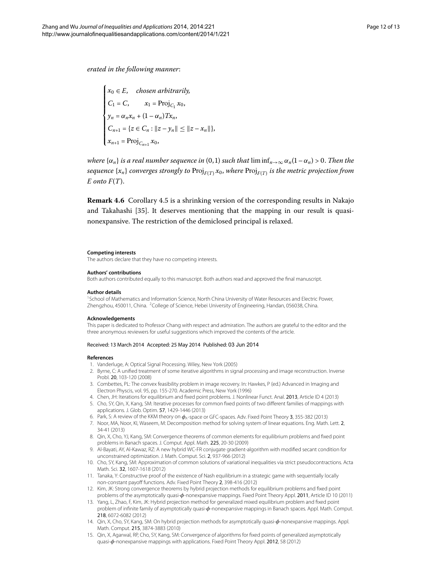*erated in the following manner*:

 $\mathbf{f}$  $\qquad \qquad \blacksquare$  $\begin{array}{c|c} & \multicolumn{1}{|c} \end{array}$  $x_0 \in E$ , *chosen arbitrarily*,  $C_1 = C$ ,  $x_1 = \text{Proj}_{C_1} x_0$ ,  $y_n = \alpha_n x_n + (1 - \alpha_n) T x_n$  $C_{n+1} = \{z \in C_n : ||z - y_n|| \leq ||z - x_n||\},\$  $x_{n+1} = \text{Proj}_{C_{n+1}} x_0,$ 

*where*  $\{\alpha_n\}$  *is a real number sequence in* (0,1) *such that*  $\liminf_{n\to\infty} \alpha_n(1-\alpha_n) > 0$ . Then the *sequence*  $\{x_n\}$  *converges strongly to* Proj $_{F(T)} x_0$ *, where* Proj $_{F(T)}$  *is the metric projection from E onto F*(*T*).

**Remark 4[.](#page-10-1)6** Corollary 4.5 is a shrinking version of the corresponding results in Nakajo and Takahashi [\[](#page-12-9)35]. It deserves mentioning that the mapping in our result is quasinonexpansive. The restriction of the demiclosed principal is relaxed.

#### <span id="page-11-1"></span><span id="page-11-0"></span>**Competing interests**

The authors declare that they have no competing interests.

#### **Authors' contributions**

Both authors contributed equally to this manuscript. Both authors read and approved the final manuscript.

#### **Author details**

<span id="page-11-2"></span><sup>1</sup>School of Mathematics and Information Science, North China University of Water Resources and Electric Power, Zhengzhou, 450011, China. <sup>2</sup>College of Science, Hebei University of Engineering, Handan, 056038, China.

#### **Acknowledgements**

This paper is dedicated to Professor Chang with respect and admiration. The authors are grateful to the editor and the three anonymous reviewers for useful suggestions which improved the contents of the article.

#### Received: 13 March 2014 Accepted: 25 May 2014 Published: 03 Jun 2014

#### <span id="page-11-6"></span>**References**

- 1. Vanderluge, A: Optical Signal Processing. Wiley, New York (2005)
- 2. Byrne, C: A unified treatment of some iterative algorithms in signal processing and image reconstruction. Inverse Probl. 20, 103-120 (2008)
- 3. Combettes, PL: The convex feasibility problem in image recovery. In: Hawkes, P (ed.) Advanced in Imaging and Electron Physcis, vol. 95, pp. 155-270. Academic Press, New York (1996)
- 4. Chen, JH: Iterations for equilibrium and fixed point problems. J. Nonlinear Funct. Anal. 2013, Article ID 4 (2013)
- <span id="page-11-3"></span>5. Cho, SY, Qin, X, Kang, SM: Iterative processes for common fixed points of two different families of mappings with applications. J. Glob. Optim. 57, 1429-1446 (2013)
- 6. Park, S: A review of the KKM theory on *φ*A-space or GFC-spaces. Adv. Fixed Point Theory 3, 355-382 (2013)
- <span id="page-11-4"></span>7. Noor, MA, Noor, KI, Waseem, M: Decomposition method for solving system of linear equations. Eng. Math. Lett. 2, 34-41 (2013)
- 8. Qin, X, Cho, YJ, Kang, SM: Convergence theorems of common elements for equilibrium problems and fixed point problems in Banach spaces. J. Comput. Appl. Math. 225, 20-30 (2009)
- 9. Al-Bayati, AY, Al-Kawaz, RZ: A new hybrid WC-FR conjugate gradient-algorithm with modified secant condition for unconstrained optimization. J. Math. Comput. Sci. 2, 937-966 (2012)
- <span id="page-11-5"></span>10. Cho, SY, Kang, SM: Approximation of common solutions of variational inequalities via strict pseudocontractions. Acta Math. Sci. 32, 1607-1618 (2012)
- 11. Tanaka, Y: Constructive proof of the existence of Nash equilibrium in a strategic game with sequentially locally non-constant payoff functions. Adv. Fixed Point Theory 2, 398-416 (2012)
- 12. Kim, JK: Strong convergence theorems by hybrid projection methods for equilibrium problems and fixed point problems of the asymptotically quasi-*φ*-nonexpansive mappings. Fixed Point Theory Appl. 2011, Article ID 10 (2011)
- 13. Yang, L, Zhao, F, Kim, JK: Hybrid projection method for generalized mixed equilibrium problem and fixed point problem of infinite family of asymptotically quasi-*φ*-nonexpansive mappings in Banach spaces. Appl. Math. Comput. 218, 6072-6082 (2012)
- 14. Qin, X, Cho, SY, Kang, SM: On hybrid projection methods for asymptotically quasi-*φ*-nonexpansive mappings. Appl. Math. Comput. 215, 3874-3883 (2010)
- 15. Qin, X, Agarwal, RP, Cho, SY, Kang, SM: Convergence of algorithms for fixed points of generalized asymptotically quasi-*φ*-nonexpansive mappings with applications. Fixed Point Theory Appl. 2012, 58 (2012)